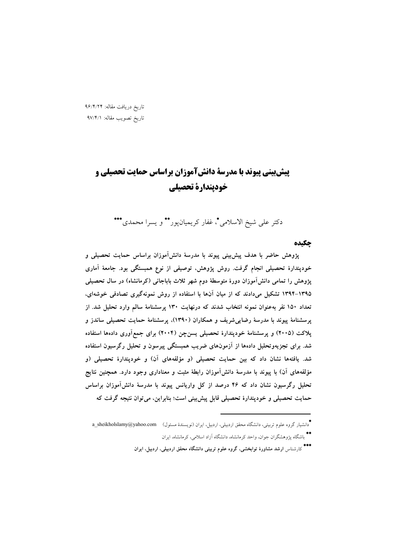تاریخ دریافت مقاله: ۹۶/۴/۲۴ تاريخ تصويب مقاله: ٩٧/۴/١

# **پیش بینی پیوند با مدرسة دانش آموزان براساس حمایت تحصیلی و خودپندارة تحصیلی**

دكتر على شيخ الاسلامي"، غفار كريميانپور\*\* و يسرا محمدي\*\*\*

### **چکیده**

پژوهش حاضر با هدف پیشبینی پیوند با مدرسهٔ دانش۱موزان براساس حمایت تحصیلی و خودپندارهٔ تحصیلی انجام گرفت. روش پژوهش، توصیفی از نوع همبستگی بود. جامعهٔ اماری پژوهش را تمامی دانشlموزان دورهٔ متوسطهٔ دوم شهر ثلاث باباجانی (کرمانشاه) در سال تحصیلی ۱۳۹۵–۱۳۹۴ تشکیل میدادند که از میان انها با استفاده از روش نمونهگیری تصادفی خوشهای، تعداد ۱۵۰ نفر بهعنوان نمونه انتخاب شدند که درنهایت ۱۳۰ پرسشنامهٔ سالم وارد تحلیل شد. از پرسشنامهٔ پیوند با مدرسهٔ رضاییشریف و همکاران (۱۳۹۰)، پرسشنامهٔ حمایت تحصیلی ساندز و پلاکت (۲۰۰۵) و پرسشنامهٔ خودپندارهٔ تحصیلی یسن $\bm{\varphi}$ ن (۲۰۰۴) برای جمع۱وری دادهها استفاده شد. برای تجزیهوتحلیل دادهها از ازمونهای ضریب همبستگی پیرسون و تحلیل رگرسیون استفاده شد. یافتهها نشان داد که بین حمایت تحصیلی (و مؤلفههای آن) و خودپندارهٔ تحصیلی (و مؤلفههای ان) با پیوند با مدرسهٔ دانش۱موزان رابطهٔ مثبت و معناداری وجود دارد. همچنین نتایج **تحلیل رگرسیون نشان داد که ۴۶ درصد از کل واریانس پیوند با مدرسهٔ دانش۱موزان براساس** حمایت تحصیلی و خودپندارهٔ تحصیلی قابل پیشبینی است؛ بنابراین، میتوان نتیجه گرفت که

<sup>\*&</sup>lt;br>\* دانشیار گروه علوم تربیتی، دانشگاه محقق اردبیلی، اردبیل، ایران (نویسندهٔ مسئول) a\_sheikholslamy@yahoo.com \*\*<br>\* باشگاه پژوهشگران جوان، واحد کرمانشاه، دانشگاه آزاد اسلامی، کرمانشاه، ایران

<sup>\*\*\*&</sup>lt;br>کارشناس ارشد مشاورهٔ توابخشی، گروه علوم تربیتی دانشگاه محقق اردبیلی، اردبیل، ایران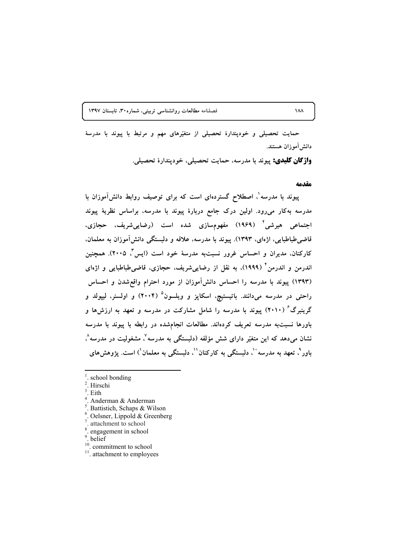۱۸۸ **استان ۱۳۹۷** قصلنامه مطالعات روانشناسی تربیتی، شماره ۳۰، تابستان ۱۳۹۷

حمایت تحصیلی و خودپندارهٔ تحصیلی از متغیّرهای مهم و مرتبط با پیوند با مدرسهٔ دانش آموزان هستند.

**واژگان کلیدی:** پیوند با مدرسه، حمایت تحصیلی، خودپندارهٔ تحصیلی.

#### **مقدمه**

**بیوند با مدرسه ٰ، اصطلاح گستردهای است که برای توصیف روابط دانش[موزان با** مدرسه بهکار میرود. اولین درک جامع دربارهٔ پیوند با مدرسه، براساس نظریهٔ پیوند اجتماعی هیرشی<sup>۲</sup> (۱۹۶۹) مفهومٖسازی شده است (رضاییشریف، حجازی، قاضی طباطبایی، اژهای، ۱۳۹۳). پیوند با مدرسه، علاقه و دلبستگی دانشlموزان به معلمان. کارکنان، مدیران و احساس غرور نسبتبه مدرسهٔ خود است (ایس<sup>"</sup>، ۲۰۰۵). همچنین اندرمن و اندرمن<sup>۴</sup> (۱۹۹۹)، به نقل از رضاییشریف، حجازی، قاضیطباطبایی و اژهای (۱۳۹۳) پیوند با مدرسه را احساس دانشlموزان از مورد احترام واقعشدن و احساس **ر**احتی در مدرسه میدانند. باتیستیچ، اسکاپز و ویلسون<sup>۵</sup> (۲۰۰۴) و اولسنر، لیپولد و گرینبرگ<sup>۶</sup> (۲۰۱۰) پیوند با مدرسه را شامل مشارکت در مدرسه و تعهد به ارزش۱ها و **باورها نسبت**به مدرسه تعریف کردهاند. مطالعات انجامشده در رابطه با پیوند با مدرسه نشان میدهد که این متغیّر دارای شش مؤلفه (دلبستگی به مدرسه<sup>۷</sup>، مشغولیت در مدرسه<sup>۸</sup>، باور<sup>۹</sup>، تعهد به مدرسه ``، دلبستگی به کارکنان``، دلبستگی به معلمان`) است. پژوهشهای

- 1 school bonding
- . Hirschi 3
- . Eith
- . Anderman & Anderman
- $<sup>5</sup>$ . Battistich, Schaps & Wilson</sup>
- $6$ . Oelsner, Lippold & Greenberg
- . attachment to school
- $\frac{8}{9}$ . engagement in school  $\frac{8}{9}$ .
- 
- $\frac{10}{11}$ . attachment to employees
-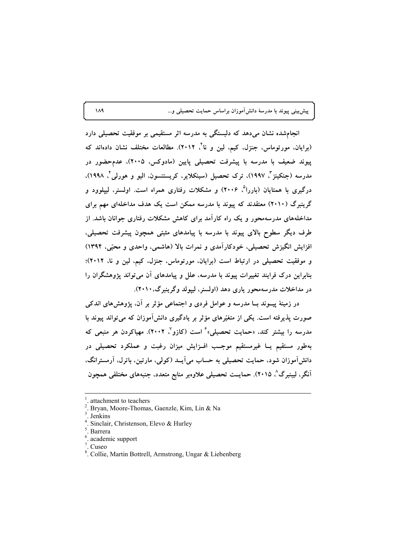پیشبینی پیوند با مدرسهٔ دانش۱موزان براساس حمایت تحصیلی و…

انجامشده نشان میدهد که دلبستگی به مدرسه اثر مستقیمی بر موفقیت تحصیلی دارد (برایان، مورتوماس، جنزل، کیم، لین و نا<sup>۲</sup>، ۲۰۱۲). مطالعات مختلف نشان دادهاند که **بیوند ضعیف با مدرسه با پیشرفت تحصیلی پایین (مادوکس، ۲۰۰۵)، عدمحضور در** مدرسه (جنکینز <sup>ت</sup>، ۱۹۹۷)، ترک تحصیل (سینکلایر، کریستنسون، الیو و هورلی <sup>ت</sup>، ۱۹۹۸)، درگیری با همتایان (باررا<sup>۵</sup>، ۲۰۰۶) و مشکلات رفتاری همراه است. اولسنر، لیپلوود و گرینبرگ (۲۰۱۰) معتقدند که پیوند با مدرسه ممکن است یک هدف مداخلهای مهم برای مداخلههای مدرسهمحور و یک راه کارامد برای کاهش مشکلات رفتاری جوانان باشد. از طرف دیگر سطوح بالای پیوند با مدرسه با پیامدهای مثبتی همچون پیشرفت تحصیلی، افزایش انگیزش تحصیلی، خودکارامدی و نمرات بالا (هاشمی، واحدی و محبّی، ۱۳۹۴) و موفقیت تحصیلی در ارتباط است (برایان، مورتوماس، جنزل، کیم، لین و نا، ۲۰۱۲)؛ **بنابراین درک فرایند تغییرات پیوند با مدرسه، علل و پیامدهای ان میتواند پژوهشگران را در مداخلات مدرسهمحور یاری دهد (اولسنر، لیپولد وگرینبرگ،۲۰۱۰).** 

در زمینهٔ پیــوند بــا مدرسه و عوامل فردی و اجتماعی مؤثر بر آن، پژوهشهای اندکی صورت پذیرفته است. یکی از متغیّرهای مؤثر بر یادگیری دانش!موزان که میتواند پیوند با مدرسه را بیشتر کند، «حمایت تحصیلی»<sup>۶</sup> است (کازو<sup>۷</sup>، ۲۰۰۲). مهیاکردن هر منبعی که بهطور مستقیم یــا غیرمستقیم موجــب افــزایش میزان رغبت و عملکرد تحصیلی در دانش۱موزان شود، حمایت تحصیلی به حساب می1یــد (کولی، مارتین، باترل، ارمسترانگ، آنگر، لیبنبرگ<sup>^</sup>، ۲۰۱۵). حمایــت تحصیلی علاوهبر منابع متعدد، جنبههای مختلفی همچون

<sup>1</sup> attachment to teachers

<sup>.</sup> Bryan, Moore-Thomas, Gaenzle, Kim, Lin & Na 3

<sup>.</sup> Jenkins 4

Sinclair, Christenson, Elevo & Hurley

 $<sup>5</sup>$ . Barrera</sup>

<sup>.</sup> academic support

 $<sup>7</sup>$ . Cuseo</sup>

<sup>.</sup> Collie, Martin Bottrell, Armstrong, Ungar & Liebenberg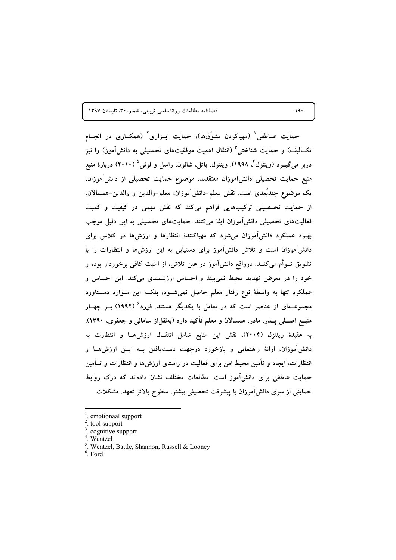حمایت عــاطفی' (مهیاکردن مشوّقها)، حمایت ابــزاری' (همکــاری در انجــام تکــالیف) و حمایت شناختی ٌ (انتقال اهمیت موفقیتهای تحصیلی به دانشآموز) را نیز دربر میگیــرد (وینتزل<sup>4</sup>، ۱۹۹۸). وینتزل، باتل، شانون، راسل و لونی<sup>۵</sup> (۲۰۱۰) دربارهٔ منبع منبع حمایت تحصیلی دانش[موزان معتقدند، موضوع حمایت تحصیلی از دانش[موزان. يک موضوع چندبُعدي است. نقش معلم–دانش1َموزان، معلم–والدين و والدين–همسالان، از حمایت تحـصیلی ترکیبهایی فراهم میکند که نقش مهمی در کیفیت و کمیت فعالیتهای تحصیلی دانش[موزان ایفا میکنند. حمایتهای تحصیلی به این دلیل موجب بهبود عملکرد دانشآموزان میشود که مهیاکنندهٔ انتظارها و ارزش۵ها در کلاس برای دانش آموزان است و تلاش دانش آموز برای دستیابی به این ارزشها و انتظارات را با تشویق تــوأم میکنــد. درواقع دانشآموز در عین تلاش، از امنیت کافی برخوردار بوده و خود را در معرض تهدید محیط نمیبیند و احساس ارزشمندی میکند. این احساس و عملکرد تنها به واسطهٔ نوع رفتار معلم حاصل نمیشـود، بلکــه این مــوارد دســتاورد مجموعــهای از عناصر است که در تعامل با یکدیگر هستند. فورد ٔ (۱۹۹۲) بــر چهــار منبــع اصـــلی پـــدر، مادر، همسالان و معلم تأکید دارد (بهنقل|ز سامانی و جعفری، ۱۳۹۰). به عقیدهٔ وینتزل (۲۰۰۴)، نقش این منابع شامل انتقـال ارزشهـا و انتظارت به دانش آموزان، ارائهٔ راهنمایی و بازخورد درجهت دستیافتن بـه ایــن ارزشهـا و انتظارات، ایجاد و تأمین محیط امن برای فعالیت در راستای ارزش۵ا و انتظارات و تــأمین حمایت عاطفی برای دانش آموز است. مطالعات مختلف نشان دادهاند که درک روابط حمایتی از سوی دانش آموزان با پیشرفت تحصیلی بیشتر، سطوح بالاتر تعهد، مشکلات

 $6$  Ford

 $19.$ 

emotionaal support

tool support

<sup>&</sup>lt;sup>3</sup>. cognitive support

 $4.$  Wentzel

<sup>&</sup>lt;sup>5</sup>. Wentzel, Battle, Shannon, Russell & Looney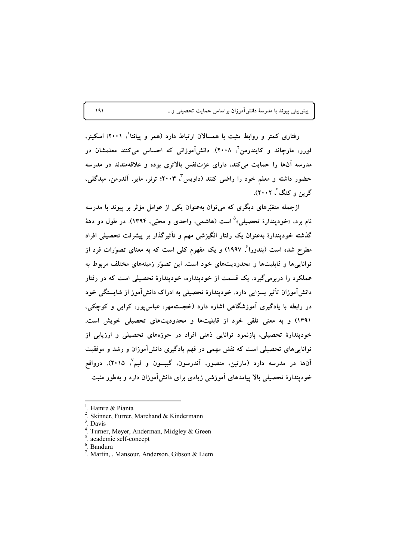پیش بینی پیوند با مدرسهٔ دانش[موزان براساس حمایت تحصیلی و...

رفتاری کمتر و روابط مثبت با همسالان ارتباط دارد (همر و پیانتا'، ۲۰۰۱؛ اسکینر، فورر، مارچاند و کایندرمن<sup>۲</sup>، ۲۰۰۸). دانشآموزانی که احساس میکنند معلمشان در مدرسه آنها را حمایت می کند، دارای عزتنفس بالاتری بوده و علاقهمندند در مدرسه حضور داشته و معلم خود را راضی کنند (داویس "، ۲۰۰۳؛ ترنر، مایر، آندرمن، مبدگلی، گر بن و کنگ ٔ، ۲۰۰۲).

ازجمله متغیّرهای دیگری که میتوان بهعنوان یکی از عوامل مؤثر بر پیوند با مدرسه نام برد. «خودپندارهٔ تحصیلی»<sup>۵</sup> است (هاشمی، واحدی و محبّی، ۱۳۹۴). در طول دو دههٔ گذشته خودپندارهٔ بهعنوان یک رفتار انگیزشی مهم و تأثیرگذار بر پیشرفت تحصیلی افراد مطرح شده است (بندورا<sup>۶</sup>، ۱۹۹۷) و یک مفهوم کل<sub>ی</sub> است که به معنای تصوّرات فرد از توانایی ها و قابلیتها و محدودیتهای خود است. این تصوّر زمینههای مختلف مربوط به عملکرد را دربرمیگیرد. یک قسمت از خودپنداره، خودپندارهٔ تحصیلی است که در رفتار دانشآموزان تأثیر بسزایی دارد. خودیندارهٔ تحصیلی به ادراک دانشآموز از شایستگی خود در رابطه با یادگیری آموزشگاهی اشاره دارد (خجستهمهر، عباس پور، کرایی و کوچکی، ۱۳۹۱) و به معنی تلقی خود از قابلیتها و محدودیتهای تحصیلی خویش است. خودپندارهٔ تحصیلی، بازنمود توانایی ذهنی افراد در حوزههای تحصیلی و ارزیابی از تواناییهای تحصیلی است که نقش مهمی در فهم یادگیری دانشآموزان و رشد و موفقیت آنها در مدرسه دارد (مارتین، منصور، آندرسون، گیبسون و لیم ٔ، ۲۰۱۵). درواقع خودیندارهٔ تحصیلی بالا پیامدهای آموزشی زیادی برای دانش آموزان دارد و بهطور مثبت

Hamre & Pianta

Skinner, Furrer, Marchand & Kindermann

Davis

<sup>&</sup>lt;sup>4</sup>. Turner, Meyer, Anderman, Midgley & Green

<sup>&</sup>lt;sup>5</sup>. academic self-concept

 $<sup>6</sup>$ . Bandura</sup>

<sup>&</sup>lt;sup>7</sup>. Martin, , Mansour, Anderson, Gibson & Liem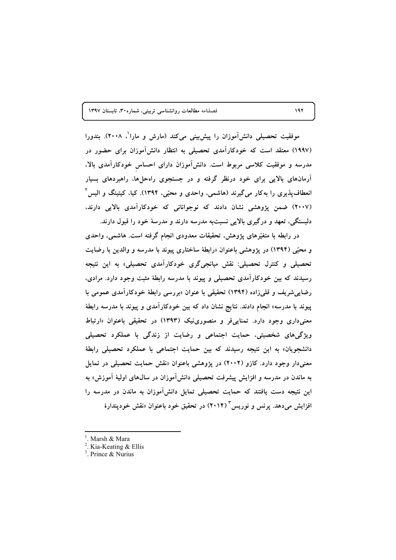موفقیت تحصیلی دانشآموزان را پیشLبینی میکند (مارش و مارا<sup>\</sup>، ۲۰۰۸). بندورا (۱۹۹۷) معتقد است که خودکارامدی تحصیلی به انتظار دانشlموزان برای حضور در مدرسه و موفقیت کلاسی مربوط است. دانش۱موزان دارای احساس خودکارامدی بالا، ارمانهای بالایی برای خود درنظر گرفته و در جستجوی راهحلها، راهبردهای بسیار انعطافپذیری را بهکار میگیرند (هاشمی، واحدی و محبّی، ۱۳۹۴). کیا، کیتینگ و الیس<sup>۲</sup> (۲۰۰۷) ضمن پژوهشی نشان دادند که نوجوانانی که خودکارآمدی بالایی دارند، دلبستگی، تعهد و درگیری بالایی نسبتبه مدرسه دارند و مدرسهٔ خود را قبول دارند.

در رابطه با متغیّرهای پژوهش، تحقیقات معدودی انجام گرفته است. هاشمی، واحدی و محبّی (۱۳۹۴) در پژوهشی باعنوان «رابطهٔ ساختاری پیوند با مدرسه و والدین با رضایت تحصیلی و کنترل تحصیلی: نقش میانجیگری خودکارامدی تحصیلی» به این نتیجه رسیدند که بین خودکارامدی تحصیلی و پیوند با مدرسه رابطهٔ مثبت وجود دارد. مرادی، رضاییشریف و قلیزاده (۱۳۹۴) تحقیقی با عنوان «بررسی رابطهٔ خودکارامدی عمومی با پیوند با مدرسه» انجام دادند. نتایج نشان داد که بین خودکارامدی و پیوند با مدرسه رابطهٔ معنیداری وجود دارد. تمناییفر و منصورینیک (۱۳۹۳) در تحقیقی باعنوان «ارتباط ویژگیهای شخصیتی، حمایت اجتماعی و رضایت از زندگی با عملکرد تحصیلی دانشجویان» به این نتیجه رسیدند که بین حمایت اجتماعی با عملکرد تحصیلی رابطهٔ معنیدار وجود دارد. کازو (۲۰۰۲) در پژوهشی باعنوان «نقش حمایت تحصیلی در تمایل به ماندن در مدرسه و افزایش پیشرفت تحصیلی دانش۱موزان در سالهای اولیهٔ اموزش» به این نتیجه دست یافتند که حمایت تحصیلی تمایل دانش!موزان به ماندن در مدرسه را افزایش میدهد. پرنس و نوریس<sup>۳</sup> (۲۰۱۴) در تحقیق خود باعنوان «نقش خودپندارهٔ

<sup>&</sup>lt;sup>1</sup>. Marsh & Mara<br><sup>2</sup> Kie Kosting &

 $2$ . Kia-Keating & Ellis

<sup>.</sup> Prince & Nurius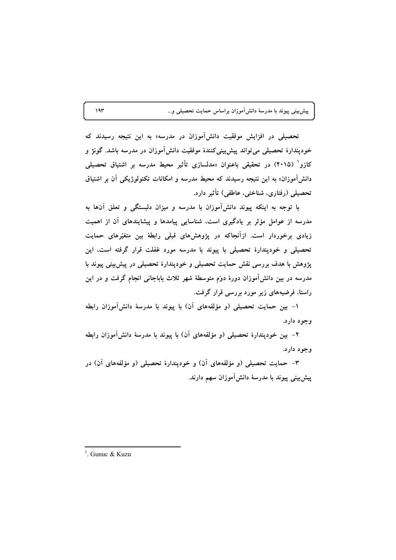پیشبینی پیوند با مدرسهٔ دانشآموزان براساس حمایت تحصیلی و…

تحصیلی در افزایش موفقیت دانش**آموزان در مدرسه» به این نتیجه رسیدند** که خودپندارهٔ تحصیلی میتواند پیش بینیکنندهٔ موفقیت دانشآموزان در مدرسه باشد. گونژ و کازو<sup>\</sup> (۲۰۱۵) در تحقیقی باعنوان «مدلسازی تأثیر محیط مدرسه بر اشتیاق تحصیلی دانش آموزان» به این نتیجه رسیدند که محیط مدرسه و امکانات تکنولوژیکی آن بر اشتیاق تحصیلی (رفتاری، شناختی، عاطفی) تأثیر دارد.

با توجه به اینکه پیوند دانش آموزان با مدرسه و میزان دلبستگی و تعلق آنها به مدرسه از عوامل مؤثر بر یادگیری است، شناسایی پیامدها و پیشایندهای آن از اهمیت زیادی برخوردار است. ازأنجاکه در پژوهشهای قبلی رابطهٔ بین متغیّرهای حمایت تحصیلی و خودپندارهٔ تحصیلی با پیوند با مدرسه مورد غفلت قرار گرفته است، این پژوهش با هدف بررسی نقش حمایت تحصیلی و خودپندارهٔ تحصیلی در پیش بینی پیوند با مدرسه در بین دانش[موزان دورهٔ دوٌم متوسطهٔ شهر ثلاث باباجانی انجام گرفت و در این راستا، فرضیههای زیر مورد بررسی قرار گرفت.

١- بين حمايت تحصيلي (و مؤلفههاي آن) با پيوند با مدرسهٔ دانشآموزان رابطه وجود دارد.

۲– بین خودپندارهٔ تحصیلی (و مؤلفههای آن) با پیوند با مدرسهٔ دانشآموزان رابطه وجود دارد.

۳- حمایت تحصیلی (و مؤلفههای آن) و خودیندارهٔ تحصیلی (و مؤلفههای آن) در پیش بینی پیوند با مدرسهٔ دانشآموزان سهم دارند.

 $197$ 

<sup>&</sup>lt;sup>1</sup> Gunuc & Kuzu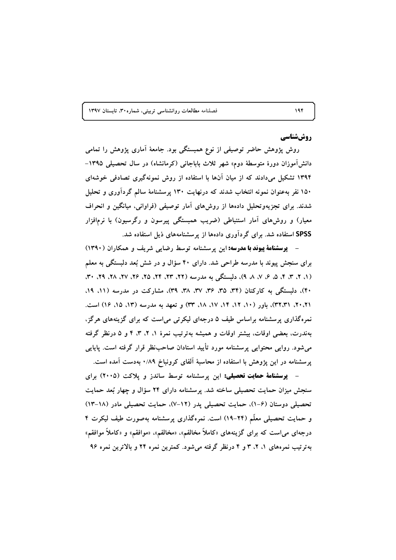# روششناسي

روش پژوهش حاضر توصیفی از نوع همبستگی بود. جامعهٔ آماری پژوهش را تمامی دانشآموزان دورهٔ متوسطهٔ دوم» شهر ثلاث باباجانی (کرمانشاه) در سال تحصیلی ۱۳۹۵– ۱۳۹۴ تشکیل می،دادند که از میان آنها با استفاده از روش نمونهگیری تصادفی خوشهای ۱۵۰ نفر بهعنوان نمونه انتخاب شدند که درنهایت ۱۳۰ پرسشنامهٔ سالم گردآوری و تحلیل شدند. برای تجزیهوتحلیل دادهها از روشهای آمار توصیفی (فراوانی، میانگین و انحراف معیار) و روش۵ای آمار استنباطی (ضریب همبستگی پیرسون و رگرسیون) با نرمافزار SPSS استفاده شد. برای گردآوری دادهها از پرسشنامههای ذیل استفاده شد.

- پوسشنامهٔ پیوند با مدرسه: این پرسشنامه توسط رضایی شریف و همکاران (۱۳۹۰) برای سنجش پیوند با مدرسه طراحی شد. دارای ۴۰ سؤال و در شش بُعد دلبستگی به معلم (۱، ۲، ۳، ۴، ۵، ۶، ۷، ۸، ۹)، دلیستگی به مدرسه (۲۲، ۲۳، ۲۵، ۲۶، ۲۵، ۲۶، ۲۸، ۲۹، ۴۰، ۴۰)، دلبستگی به کارکنان (۳۴، ۳۵، ۳۶، ۳۷، ۳۸، ۳۹)، مشارکت در مدرسه (۱۱، ۱۹، ٢٠،٢١، ٣٢،٣١)، باور (١٠، ١٢، ١٢، ١٧، ١٨، ٣٣) و تعهد به مدرسه (١٣، ١٥، ١٤) است. نمرهگذاری پرسشنامه براساس طیف ۵ درجهای لیکرتی میاست که برای گزینههای هرگز، بهندرت، بعضی اوقات، بیشتر اوقات و همیشه بهترتیب نمرهٔ ۱، ۲، ۳، ۴ و ۵ درنظر گرفته می شود. روایی محتوایی پرسشنامه مورد تأیید استادان صاحب نظر قرار گرفته است. پایایی پرسشنامه در این پژوهش با استفاده از محاسبهٔ آلفای کرونباخ ۰/۸۹ بهدست آمده است.

- **پوسشنامهٔ حمایت تحصیلی:** این پوسشنامه توسط ساندز و یلاکت (۲۰۰۵) برای سنجش میزان حمایت تحصیلی ساخته شد. پرسشنامه دارای ۲۴ سؤال و چهار بُعد حمایت تحصیلی دوستان (۶-۱)، حمایت تحصیلی پدر (۱۲-۷)، حمایت تحصیلی مادر (۱۸-۱۳) و حمایت تحصیلی معلّم (۲۴-۱۹) است. نمرهگذاری پرسشنامه بهصورت طیف لیکرت ۴ درجهای می است که برای گزینههای «کاملاً مخالفم». «مخالفم»، «موافقم» و «کاملاً موافقم» بهترتیب نمرههای ۱، ۲، ۳ و ۴ درنظر گرفته میشود. کمترین نمره ۲۴ و بالاترین نمره ۹۶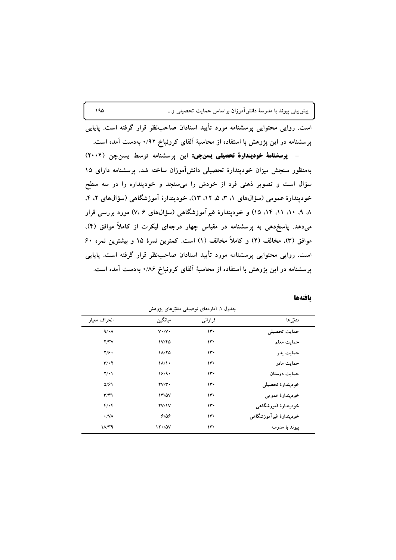پیشبینی پیوند با مدرسهٔ دانشآموزان براساس حمایت تحصیلی و…

است. روایی محتوایی پرسشنامه مورد تأیید استادان صاحبنظر قرار گرفته است. پایایی یرسشنامه در این پژوهش با استفاده از محاسبهٔ آلفای کرونباخ ۰/۹۲ بهدست آمده است.

- **پرسشنامهٔ خودپندارهٔ تحصیلی یسنچن:** این پرسشنامه توسط یسنچن (۲۰۰۴) بهمنظور سنجش میزان خودپندارهٔ تحصیلی دانشآموزان ساخته شد. پرسشنامه دارای ۱۵ سؤال است و تصویر ذهنی فرد از خودش را میسنجد و خودپنداره را در سه سطح خوديندارهٔ عمومي (سؤالهاي ١، ٣، ۵، ١٢، ١٣)، خوديندارهٔ آموزشگاهي (سؤالهاي ٢، ۴، ۸. ۹. ۱۰. ۱۱. ۱۴. ۱۵) و خودپندارهٔ غیرآموزشگاهی (سؤالهای ۷.۶) مورد بررسی قرار میدهد. پاسخدهی به پرسشنامه در مقیاس چهار درجهای لیکرت از کاملاً موافق (۴)، موافق (٣). مخالف (٢) و كاملاً مخالف (١) است. كمترين نمرهٔ ١۵ و بيشترين نمره ۶۰ است. روایی محتوایی پرسشنامه مورد تأیید استادان صاحبنظر قرار گرفته است. پایایی پرسشنامه در این پژوهش با استفاده از محاسبهٔ آلفای کرونباخ ۰/۸۶ بهدست آمده است.

بافتهها

|                        | - د پ <i>پر</i> د<br>ت بنت<br>╯ |                         |                              |  |  |  |  |
|------------------------|---------------------------------|-------------------------|------------------------------|--|--|--|--|
| متغيّرها               | فراواني                         | ميانگين                 | انحراف معيار                 |  |  |  |  |
| حمايت تحصيلى           | ۱۳۰                             | $V\cdot/V\cdot$         | $4/\cdot \Lambda$            |  |  |  |  |
| حمايت معلم             | ۱۳۰                             | 1V/FQ                   | Y/YV                         |  |  |  |  |
| حمايت پدر              | ۱۳۰                             | 11/70                   | 7/9.                         |  |  |  |  |
| حمايت مادر             | ۱۳۰                             | $1/\sqrt{1}$            | $\mathbf{r}/\cdot\mathbf{r}$ |  |  |  |  |
| حمايت دوستان           | ۱۳۰                             | 18/9.                   | $Y(\cdot)$                   |  |  |  |  |
| خوديندارة تحصيلى       | ۱۳۰                             | $\mathbf{y}/\mathbf{y}$ | 0/91                         |  |  |  |  |
| خودپندارهٔ عمومی       | ۱۳۰                             | 17/0V                   | $\mathbf{r}$                 |  |  |  |  |
| خودپندارهٔ اَموزشگاهی  | ۱۳۰                             | YV/Y                    | 4.4                          |  |  |  |  |
| خوديندارة غيرآموزشگاهي | ۱۳۰                             | 9/09                    | $\cdot$ / $\sqrt{\Lambda}$   |  |  |  |  |
| ييوند با مدرسه         | ۱۳۰                             | 17.70V                  | $1/\sqrt{79}$                |  |  |  |  |
|                        |                                 |                         |                              |  |  |  |  |

۔<br>جدول ۱. آمارہهای توصیفی متغیّرهای یژوهش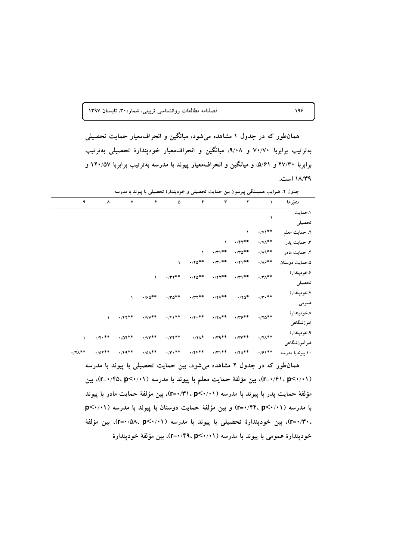همانطور که در جدول ۱ مشاهده میشود، میانگین و انحراف معیار حمایت تحصیلی بهترتیب برابربا ۷۰/۷۰ و ۹/۰۸، میانگین و انحراف معیار خودپندارهٔ تحصیلی بهترتیب برابربا ۴۷/۳۰ و ۵/۶۱، و میانگین و انحراف معیار پیوند با مدرسه بهترتیب برابربا ۱۲۰/۵۷ و ۱۸/۳۹ است.

|                  | .                                | ∼<br>پ ۲۰۰           |                                 | - ت ب         | $\cdot$ $\cdot$                                                                                   | - - - -                                        |               |                       |                                |
|------------------|----------------------------------|----------------------|---------------------------------|---------------|---------------------------------------------------------------------------------------------------|------------------------------------------------|---------------|-----------------------|--------------------------------|
| متغيّرها         | ١                                | $\blacktriangledown$ | ٣                               | ۴             | ۵                                                                                                 | ۶                                              | $\mathsf{v}$  | ۸                     | ٩                              |
| ١.حمايت          | ١                                |                      |                                 |               |                                                                                                   |                                                |               |                       |                                |
| تحصيلى           |                                  |                      |                                 |               |                                                                                                   |                                                |               |                       |                                |
| ٢. حمايت معلم    | $\cdot$ / $\vee$ \**             | $\mathcal{L}$        |                                 |               |                                                                                                   |                                                |               |                       |                                |
| ۴. حمايت پدر     | $\cdot$ /V $\wedge^{\ast\ast}$   | $\cdot$ /۴۲**        | $\sqrt{2}$                      |               |                                                                                                   |                                                |               |                       |                                |
| ۴. حمایت مادر    | $\cdot$ / $\wedge$ $\uparrow$ *  | $\cdot$ /۳۵**        | $\cdot$ /٣١**                   | $\sqrt{2}$    |                                                                                                   |                                                |               |                       |                                |
| ۵.حمایت دوستان   | $\cdot/\lambda \mathcal{F}^{**}$ | $\cdot$ /۲۱**        | $\cdot$ /<br>۳ $\cdot$ **       | $\cdot$ /۲۵** | $\sqrt{2}$                                                                                        |                                                |               |                       |                                |
| ۶.خودپندارهٔ     | $\cdot$ /۳ $\wedge^*$ *          | $\cdot$ /٣١**        | $\cdot$ /۲۲**                   | $\cdot$ /۲۵** | $\cdot$ /<br>۳۲**                                                                                 | $\mathcal{L}$                                  |               |                       |                                |
| تحصيلى           |                                  |                      |                                 |               |                                                                                                   |                                                |               |                       |                                |
| ۷.خودپندارهٔ     | $\cdot$ /<br>۳ $\cdot$ **        | $\cdot$ /۲۵*         | $\boldsymbol{\cdot}$ /۲۷**      | $\cdot$ /٣٢** | $\cdot$ / $\hspace{-1.5mm}\raisebox{0.3mm}{\text{\circle*{1.5}}}\hspace*{1.5mm}\sigma^{\ast\ast}$ | $\cdot$ /۶۵**                                  | $\mathcal{L}$ |                       |                                |
| عمومى            |                                  |                      |                                 |               |                                                                                                   |                                                |               |                       |                                |
| ۸.خودپندارهٔ     |                                  | $\cdot$ /٣۶**        | $\cdot$ /۲ $\wedge^{\ast\ast}$  | $\cdot$ /۲۰** | $\cdot$ /۴۱**                                                                                     | $\cdot$ /VV**                                  | $\cdot$ /۴۴** | $\mathcal{L}$         |                                |
| أموزشگاهى        | $\cdot$ /۲۵**                    |                      |                                 |               |                                                                                                   |                                                |               |                       |                                |
| ۹.خودپندارهٔ     |                                  | $\cdot$ /٣٣**        | $\cdot$ / $\gamma$ $\gamma$ * * | $\cdot$ /۲۸*  | $\cdot$ /٣۴**                                                                                     | $\cdot$ / $\mathsf{Y}^{\mathbf{*} \mathbf{*}}$ | $\cdot$ /0۴** | $\cdot$ /۴ $\cdot$ ** |                                |
| غیرآموزشگاهی     | $\cdot$ /۲ $\wedge^*$ *          |                      |                                 |               |                                                                                                   |                                                |               |                       | $\sqrt{2}$                     |
| ۱۰ بیوندبا مدرسه | $\cdot$ / $5$ $\cdot$ **         | $\cdot$ /۴۵**        | $\cdot$ /٣١**                   | $\cdot$ /۴۴** | $\cdot$ /۳ $\cdot$ **                                                                             | $\cdot$ /0 $\wedge^{\ast\ast}$                 | $\cdot$ /۴۹** | $\cdot$ /07**         | $\cdot$ /۲ $\wedge^{\ast\ast}$ |

جدول ۲. ضرایب همبستگی پیرسون بین حمایت تحصیلی و خودپندارهٔ تحصیلی با پیوند با مدرسه

همانطور که در جدول ۲ مشاهده میشود، بین حمایت تحصیلی با پیوند با مدرسه (۲-۰/۶۱، p<۰/۰۱)، بین مؤلفهٔ حمایت معلم با پیوند با مدرسه (۲-۰/۴۵، p<۰/۰۱)، بین مؤلفة حمايت پدر با پيوند با مدرسه (٢٠/٠١)×٣١٠=٢). بين مؤلفة حمايت مادر با پيوند با مدرسه (۱/۰۲+>r=۰/۴۴، p) و بین مؤلفهٔ حمایت دوستان با پیوند با مدرسه (۱/۰۱+>p ، ۲۰/۳۰=۲)، بین خودیندارهٔ تحصیلی با یبوند با مدرسه (۱۰/۰۱>r=۰/۵۸، p)، بین مؤلفهٔ خودپندارهٔ عمومی با پیوند با مدرسه (۱۰/۰۲-۲۴۹، ۲=۰)، بین مؤلفهٔ خودپندارهٔ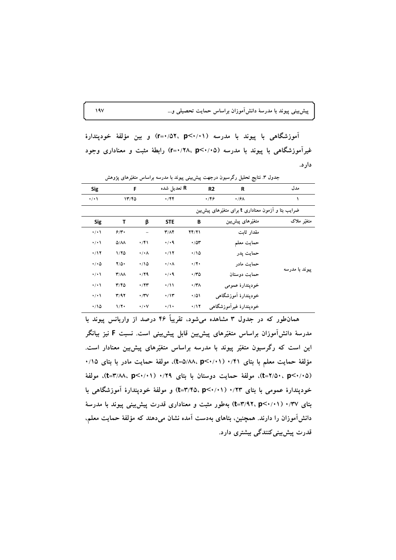پیش بینی پیوند با مدرسهٔ دانشآموزان براساس حمایت تحصیلی و…

آموزشگاهی با پیوند با مدرسه (۱۰/۰۲-۳۵ ،۵۲٪+۳) و بین مؤلفهٔ خودپندارهٔ غیر آموزشگاهی با پیوند با مدرسه (۲۰/۰۵-۲۵) r=۰/۲۸، p<۰/۰۵) رابطهٔ مثبت و معناداری وجود دارد.

|                | ֊                                                  |                |                                   |                      |                         |                       |  |  |
|----------------|----------------------------------------------------|----------------|-----------------------------------|----------------------|-------------------------|-----------------------|--|--|
| مدل            | R                                                  | R <sub>2</sub> | R تعديل شده                       | F                    |                         | <b>Sig</b>            |  |  |
|                | $\cdot$ /۶۸                                        | 4/89           | $\cdot$ /۴۴                       |                      | 1770                    | $\cdot/\cdot$         |  |  |
|                | ضرایب بتا و آزمون معناداری t برای متغیّرهای پیشبین |                |                                   |                      |                         |                       |  |  |
| متغیّر ملاک    | متغیّرهای پیشبین                                   | В              | <b>STE</b>                        | β                    | т                       | <b>Sig</b>            |  |  |
| ييوند با مدرسه | مقدار ثابت                                         | 74/71          | $\mathbf{r}/\mathbf{A}\mathbf{r}$ |                      | 9/3                     | $\cdot$ / $\cdot$     |  |  |
|                | حمايت معلم                                         | $\cdot$ /0۳    | $\cdot$ / $\cdot$ 9               | $\cdot$ /۴۱          | $\Delta/\Lambda\Lambda$ | $\cdot/\cdot$         |  |  |
|                | حمايت يدر                                          | $\cdot$ 10     | $\cdot$ /17                       | $\cdot/\cdot \wedge$ | 1/70                    | $\cdot/17$            |  |  |
|                | حمایت مادر                                         | $\cdot/7$      | $\cdot/\cdot \wedge$              | .700                 | $Y/\Delta$              | $\cdot/\cdot$ $\circ$ |  |  |
|                | حمايت دوستان                                       | $\cdot$ ro     | $\cdot$ / $\cdot$ 9               | $\cdot$ /۲۹          | $\mathbf{r}/\mathbf{A}$ | $\cdot$ / $\cdot$     |  |  |
|                | خودپندارهٔ عمومی                                   | $\cdot$ /۳۸    | $\cdot/11$                        | $\cdot$ /۲۳          | Y/Y                     | $\cdot$ / $\cdot$     |  |  |
|                | خوديندارة آموزشگاهي                                | $\cdot$ /01    | $\cdot/\gamma$                    | $\cdot$ /۳۷          | Y/9Y                    | $\cdot$ / $\cdot$     |  |  |
|                | خودپندارۂ غیرآموزشگاهی                             | $\cdot$ /17    | $\cdot/$                          | $\cdot/\cdot$ Y      | $1/\Upsilon$            | $\cdot$ 10            |  |  |
|                |                                                    |                |                                   |                      |                         |                       |  |  |

جدول ۳. نتایج تحلیل رگرسیون درجهت پیش بینی پیوند با مدرسه براساس متغیّرهای یژوهش

همانطور که در جدول ۳ مشاهده می شود، تقریباً ۴۶ درصد از واریانس پیوند با مدرسهٔ دانشآموزان براساس متغیّرهای پیشیین قابل پیشیینی است. نسبت F نیز بیانگر این است که رگرسیون متغیّر پیوند با مدرسه براساس متغیّرهای پیش بین معنادار است. مؤلفة حمايت معلم با بتاى ٠/٤١ ( t=۵/٨٨، p<٠/١١)، مولفة حمايت مادر با بتاى ٠/١٥ (t=٢/٥٠، p<٠/٠٥)، مولفة حمايت دوستان با بتاى ٠/٢٩ (t=٣/٨٨، p<٠/٠١)، مولفة خودپندارهٔ عمومی با بتای ۰/۲۳ (۲۰/۰۱-t=۳/۴۵، p<۰/۰۱) و مولفهٔ خودپندارهٔ آموزشگاهی با بتای ۰/۳۷ (۱/۰۱-t=۳/۹۲، p<۰/۰۱) بهطور مثبت و معناداری قدرت پیش بینی پیوند با مدرسهٔ دانشآموزان را دارند. همچنین، بتاهای بهدست آمده نشان میدهند که مؤلفهٔ حمایت معلم، قدرت پیش بینی کنندگی بیشتری دارد.

 $\sqrt{2}$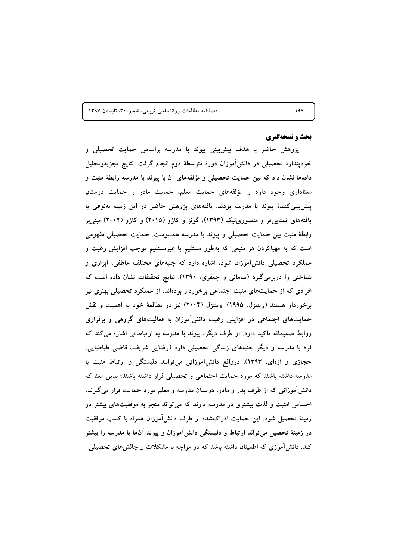### **بحث و نتیجهگیری**

پژوهش حاضر با هدف پیش،ینی پیوند با مدرسه براساس حمایت تحصیلی و خودپندارهٔ تحصیلی در دانش۱موزان دورهٔ متوسطهٔ دوم انجام گرفت. نتایج تجزیهوتحلیل دادهها نشان داد که بین حمایت تحصیلی و مؤلفههای ان با پیوند با مدرسه رابطهٔ مثبت و معناداری وجود دارد و مؤلفههای حمایت معلم، حمایت مادر و حمایت دوستان **ب**یشبییکنندهٔ پیوند با مدرسه بودند. یافتههای پژوهش حاضر در این زمینه بهنوعی با **یافتههای تمناییفر و منصورینیک (۱۳۹۳)، گونژ و کازو (۲۰۱۵) و کازو (۲۰۰۲) مبنیبر** رابطهٔ مثبت بین حمایت تحصیلی و پیوند با مدرسه همسوست. حمایت تحصیلی مفهومی است که به مهیاکردن هر منبعی که بهطور مستقیم یا غیرمستقیم موجب افزایش رغبت و عملکرد تحصیلی دانش۱موزان شود، اشاره دارد که جنبههای مختلف عاطفی، ابزاری و شناختی را دربرمیگیرد (سامانی و جعفری، ۱۳۹۰). نتایج تحقیقات نشان داده است که افرادی که از حمایتهای مثبت اجتماعی برخوردار بودهاند. از عملکرد تحصیلی بهتری نیز **ر**خوردار هستند (وینتزل، ۱۹۹۵). وینتزل (۲۰۰۴) نیز در مطالعهٔ خود به اهمیت و نقش  حمایتهای اجتماعی در افزایش رغبت دانش۱موزان به فعالیتهای گروهی و برقراری روابط صمیمانه تاکید دارد. از طرف دیگر، پیوند با مدرسه به ارتباطاتی اشاره میکند که فرد با مدرسه و دیگر جنبههای زندگی تحصیلی دارد (رضایی شریف، قاضی طباطبایی، حجازی و اژهای، ۱۳۹۳). درواقع دانش آموزانی می توانند دلبستگی و ارتباط مثبت با مدرسه داشته باشند که مورد حمایت اجتماعی و تحصیلی قرار داشته باشند؛ بدین معنا که دانشlموزانی که از طرف پدر و مادر، دوستان مدرسه و معلم مورد حمایت قرار میگیرند. احساس امنیت و لذت بیشتری در مدرسه دارند که میتواند منجر به موفقیتهای بیشتر در **زمینهٔ تحصیل شود. این حمایت ادراکشده از طرف دانش۱موزان همراه با کسب موفقیت** در زمینهٔ تحصیل می<code>تواند ارتباط و دلبستگی دانش۱موزان و پیوند انها با مدرسه را بیشتر</code> کند. دانش۱موزی که اطمینان داشته باشد که در مواجه با مشکلات و چالشهای تحصیلی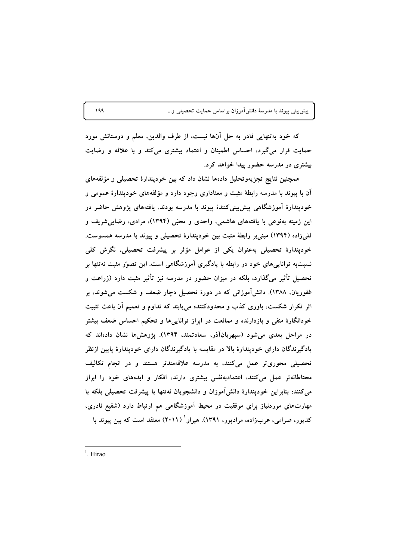پیشبینی پیوند با مدرسهٔ دانشآموزان براساس حمایت تحصیلی و...

که خود بهتنهایی قادر به حل آنها نیست، از طرف والدین، معلم و دوستانش مورد حمایت قرار میگیرد، احساس اطمینان و اعتماد بیشتری میکند و با علاقه و رضایت بیشتری در مدرسه حضور پیدا خواهد کرد.

همچنین نتایج تجزیهوتحلیل دادهها نشان داد که بین خودیندارهٔ تحصیلی و مؤلفههای آن با پیوند با مدرسه رابطهٔ مثبت و معناداری وجود دارد و مؤلفههای خودیندارهٔ عمومی و خودیندارهٔ آموزشگاهی پیش بینی کنندهٔ پیوند با مدرسه بودند. یافتههای پژوهش حاضر در این زمینه بهنوعی با یافتههای هاشمی، واحدی و محبّی (۱۳۹۴)، مرادی، رضایی شریف و قلمیزاده (۱۳۹۴) مبنی بر رابطهٔ مثبت بین خودپندارهٔ تحصیلی و پیوند با مدرسه همسوست. خودپندارهٔ تحصیلی بهعنوان یکی از عوامل مؤثر بر پیشرفت تحصیلی، نگرش کلی نسبتبه تواناییهای خود در رابطه با یادگیری آموزشگاهی است. این تصوّر مثبت نهتنها بر تحصیل تأثیر میگذارد، بلکه در میزان حضور در مدرسه نیز تأثیر مثبت دارد (زراعت و غفوریان، ۱۳۸۸). دانشآموزانی که در دورهٔ تحصیل دچار ضعف و شکست میشوند، بر اثر تکرار شکست، باوری کذب و محدودکننده میbبند که تداوم و تعمیم اَن باعث تثبیت خودانگارهٔ منفی و بازدارنده و ممانعت در ابراز تواناییها و تحکیم احساس ضعف بیشتر در مراحل بعدی میشود (سپهریانآذر، سعادتمند، ۱۳۹۴). پژوهشها نشان دادهاند که یادگیرندگان دارای خودپندارهٔ بالا در مقایسه با یادگیرندگان دارای خودپندارهٔ پایین ازنظر تحصیلی محوری تر عمل میکنند، به مدرسه علاقهمندتر هستند و در انجام تکالیف محتاطانهتر عمل میکنند، اعتمادبهنفس بیشتری دارند، افکار و ایدههای خود را ابراز می کنند؛ بنابراین خودیندارهٔ دانش آموزان و دانشجویان نهتنها با پیشرفت تحصیلی بلکه با مهارتهای موردنیاز برای موفقیت در محیط آموزشگاهی هم ارتباط دارد (شفیع نادری، کدیور، صرامی، عربزاده، مرادیور، ۱۳۹۱). هیراو` (۲۰۱۱) معتقد است که بین پیوند با

 $1$  Hirao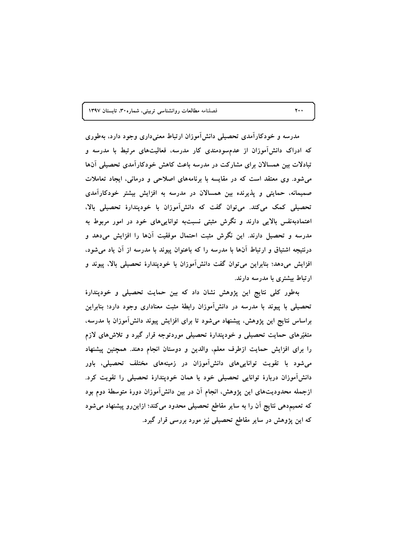مدرسه و خودکارآمدی تحصیلی دانشآموزان ارتباط معنیداری وجود دارد، بهطوری که ادراک دانش[موزان از عدمسودمندی کار مدرسه، فعالیتهای مرتبط با مدرسه و تبادلات بین همسالان برای مشارکت در مدرسه باعث کاهش خودکارآمدی تحصیلی آنها می شود. وی معتقد است که در مقایسه با برنامههای اصلاحی و درمانی، ایجاد تعاملات صمیمانه، حمایتی و پذیرنده بین همسالان در مدرسه به افزایش بیشتر خودکارآمدی تحصیلی کمک میکند. می توان گفت که دانش آموزان با خودپندارهٔ تحصیلی بالا، اعتمادبهنفس بالایی دارند و نگرش مثبتی نسبتبه تواناییهای خود در امور مربوط به مدرسه و تحصیل دارند. این نگرش مثبت احتمال موفقیت آنها را افزایش میدهد و درنتیجه اشتیاق و ارتباط آنها با مدرسه را که باعنوان پیوند با مدرسه از آن یاد می شود، افزایش میدهد؛ بنابراین میتوان گفت دانشآموزان با خودپندارهٔ تحصیلی بالا، پیوند و ارتباط بیشتری با مدرسه دارند.

بهطور کلی نتایج این پژوهش نشان داد که بین حمایت تحصیلی و خودپندارهٔ تحصیلی با پیوند با مدرسه در دانشآموزان رابطهٔ مثبت معناداری وجود دارد؛ بنابراین براساس نتایج این پژوهش، پیشنهاد میشود تا برای افزایش پیوند دانش[موزان با مدرسه، متغیّرهای حمایت تحصیلی و خودپندارهٔ تحصیلی موردتوجه قرار گیرد و تلاشهای لازم را برای افزایش حمایت ازطرف معلم، والدین و دوستان انجام دهند. همچنین پیشنهاد می شود با تقویت توانایی های دانش آموزان در زمینههای مختلف تحصیلی، باور دانشآموزان دربارهٔ توانایی تحصیلی خود یا همان خودپندارهٔ تحصیلی را تقویت کرد. ازجمله محدودیتهای این پژوهش، انجام آن در بین دانشآموزان دورهٔ متوسطهٔ دوم بود که تعمیمدهی نتایج اَن را به سایر مقاطع تحصیلی محدود میکند؛ ازاین٫و پیشنهاد میشود که این پژوهش در سایر مقاطع تحصیلی نیز مورد بررسی قرار گیرد.

 $\mathbf{y}$ .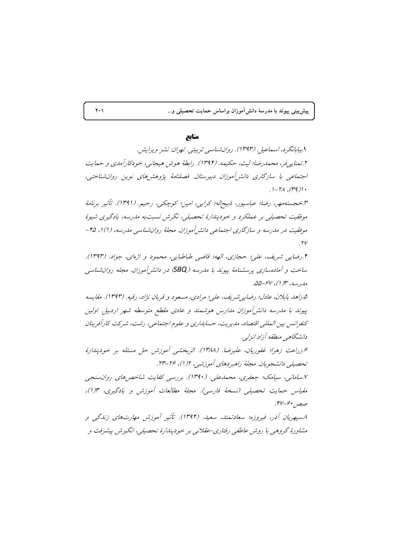پیش بینی پیوند با مدرسهٔ دانش[موزان براساس حمایت تحصیلی و…

## منابع

۱.بیابانگر د، اسماعیل (۱۳۹۳). روان شناسبی تربیتی. تعران: نشیر و پرایش. ۲.تمنايي فر، محمدرضا؛ ليث، حكيمه. (۱۳۹۴). رابطهٔ هوش هيجانبي، خودكارآمدي و حمايت اجتماعی با سازگاری دانش آموزان دبیرستان. فصلنامهٔ پژوهش های نوین روانشناختی،  $.1 - T\lambda$   $(19)$ .

۳.خجستهمهر، رضا؛ عباسپور، ذبیح|له؛ کرایی، امین؛ کوچکی، رحیم. (۱۳۹۱). تأثیر برنامهٔ موفقیت تحصیلی بر عملکرد و خودپندارهٔ تحصیلی، نگرش نسبت به مدرسه، یادگیری شیوهٔ موفقیت در مدرسه و سازگاری اجتماعی دانش آموزان. مجلهٔ روان شناسی مدرسه، (۱)۱، ۴۵- $.7<sup>V</sup>$ 

۴.رضايي شريف، علي؛ حجازي، الهه؛ قاضي طباطبايي، محمود و اژهاي، جواد. (١٣٩٣). ساخت و آمادهسازی پرسشنامهٔ پیوند با مدرسه (SBQ) در دانشرآموزان. مجله روانشناسی مارديسه، ٣(١)، ۶۷-۵۵.

۵.زاهد بابلان، عادل؛ رضایی شریف، علی؛ مرادی، مسعود و قربان نژاد، رقیه. (۱۳۹۳). مقایسه پیوند با مدرسه دانش آموزان مدارس هوشمند و عادی مقطع متوسطه شهر اردبیل. اولین كنفرانس بين المللي اقتصاد، مديريت، حسابداري و علوم اجتماعي، رشت، شركت كارأفرينان دانشگاهی منطقه آزاد انزلی.

عزراعت زهرا؛ غفوريان، عليرضا. (١٣٨٨). اثر بخشبي أموزش حل مسئله بر خوديندارهُ تحصیلے دانشجویان. مجلهٔ راهیږ دهای آموزشی، ۱/ (۱)، ۲۶-۲۳.

۷.سامانی، سیامک؛ جعفری، محمدعلی. (۱۳۹۰). بررسی کفایت شاخص های روان سنجی مقياس حمايت تحصيلي (نسخهُ فارسي). مجلهُ مطالعات أموزش و يادگيري، ١٣(١)، صص ۶۰-۴۷.

۸.سپهريان آذر، فيروزه؛ سعادتمند، سعيد. (۱۳۹۴). تأثير آموزش مهارتهای زندگی و مشاورهٔ گروهی با روش عاطفی رفتاری-عقلانی بر خودپندارهٔ تحصیلی، انگیزش پیشرفت و

 $\mathbf{Y} \cdot \mathbf{V}$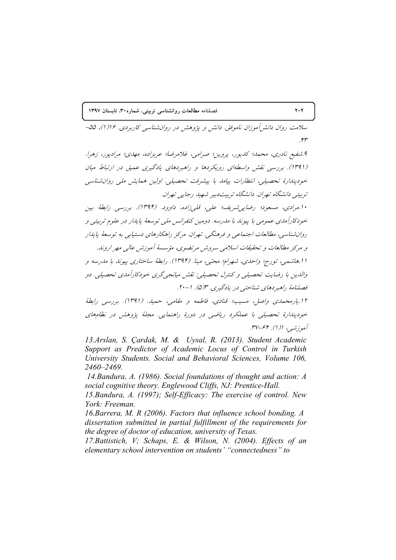سلامت روان دانش آموزان ناموفق. دانش و پژوهش در روانشناسی کاربردی. ۱۶(۱)، ۵۵–  $.$ ۴۳

۹ شفیع نادری، محمد؛ کدیور، یروین؛ صرامی، غلامرضا؛ عربزاده، مهدی؛ مرادیور، زهرا. (۱۳۹۱). بررسی نقش واسطهای رویکردها و راهبردهای یادگیری عمیق در ارتباط میان خودیندارهٔ تحصیلی، انتطارات پیامد با پیشرفت تحصیلی. اولین همایش ملی روانشناسی تربیتے دانشگاه تھران. دانشگاه تربیت دبیر شھید رجابے تھران.

۱۰.مرادي، مسعود؛ رضايه شريف؛ علي، قلي زاده، داوود. (۱۳۹۴). بررسي رابطهٔ بين خودکارآمدی عمومی با پیوند با مدرسه. دومین کنفرانس ملی توسعهٔ پایدار در علوم تربیتی و روانشناسی، مطالعات اجتماعی و فرهنگی. تهران. مرکز راهکارهای دستیابی به توسعهٔ پایدار و مركز مطالعات و تحقیقات اسلامی سروش مرتضوی، مؤسسهٔ آموزش عالی مهر اروند. ا ا هاشمې، تورج؛ واحدې، شهرام؛ محبّي، مينا. (۱۳۹۴). رابطهٔ ساختاري پيوند با مدرسه و والدين با رضايت تحصيلي و كنترل تحصيلي: نقش ميانجي گري خودكارآمدي تحصيلي. دو فصلنامهٔ راهبردهای شناختی در یادگیری. ۳(۵). ۱-۲۰.

۱۲.پارمحمدی واصل، مسیب؛ قنادی، فاطمه و مقامی، حمید. (۱۳۹۱). بررسی رابطهٔ خودیندارهٔ تحصیلی با عملکرد ریاضی در دورهٔ راهنمایی. مجلهٔ پژوهش در نظامهای أموزشير، ا(۱). ۶۴-۳۷.

13.Arslan, S. Çardak, M. & Uysal, R. (2013). Student Academic Support as Predictor of Academic Locus of Control in Turkish University Students. Social and Behavioral Sciences, Volume 106, 2460-2469.

14. Bandura, A. (1986). Social foundations of thought and action: A social cognitive theory. Englewood Cliffs, NJ: Prentice-Hall.

15. Bandura, A. (1997); Self-Efficacy: The exercise of control. New York: Freeman.

16. Barrera, M. R (2006). Factors that influence school bonding. A dissertation submitted in partial fulfillment of the requirements for the degree of doctor of education, university of Texas.

17. Battistich, V; Schaps, E. & Wilson, N. (2004). Effects of an elementary school intervention on students' "connectedness" to

### $Y \cdot Y$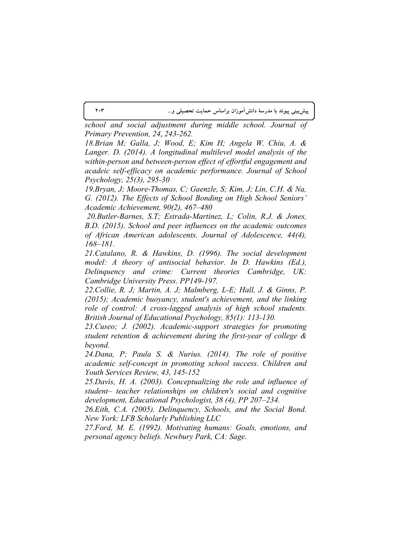**پیشبینی پیوند با مدرسهٔ دانش۱موزان براساس حمایت تحصیلی و…** 

*school and social adjustment during middle school. Journal of Primary Prevention, 24*, *243-262.*

*18.Brian M; Galla, J; Wood, E; Kim H; Angela W. Chiu, A. & Langer. D. (2014). A longitudinal multilevel model analysis of the within-person and between-person effect of effortful engagement and acadeic self-efficacy on academic performance. Journal of School Psychology, 25(3), 295-30* 

*19.Bryan, J; Moore-Thomas, C; Gaenzle, S; Kim, J; Lin, C.H. & Na, G. (2012). The Effects of School Bonding on High School Seniors' Academic Achievement, 90(2), 467–480* 

 *20.Butler-Barnes, S.T; Estrada-Martinez, L; Colin, R.J. & Jones, B.D. (2015). School and peer influences on the academic outcomes of African American adolescents. Journal of Adolescence, 44(4), 168–181.* 

*21.Catalano, R. & Hawkins, D. (1996). The social development model: A theory of antisocial behavior. In D. Hawkins (Ed.), Delinquency and crime: Current theories Cambridge, UK: Cambridge University Press*. *PP149-197.* 

*22.Collie, R. J; Martin, A. J; Malmberg, L-E; Hall, J. & Ginns, P. (2015); Academic buoyancy, student's achievement, and the linking role of control: A cross-lagged analysis of high school students. British Journal of Educational Psychology, 85(1): 113-130.*

*23.Cuseo; J. (2002). Academic-support strategies for promoting student retention & achievement during the first-year of college & beyond.* 

*24.Dana, P; Paula S. & Nurius. (2014). The role of positive academic self-concept in promoting school success. Children and Youth Services Review, 43, 145-152* 

*25.Davis, H. A. (2003). Conceptualizing the role and influence of student– teacher relationships on children's social and cognitive development, Educational Psychologist, 38 (4), PP 207–234.* 

*26.Eith, C.A. (2005). Delinquency, Schools, and the Social Bond. New York: LFB Scholarly Publishing LLC*

*27.Ford, M. E. (1992). Motivating humans: Goals, emotions, and personal agency beliefs. Newbury Park, CA: Sage.*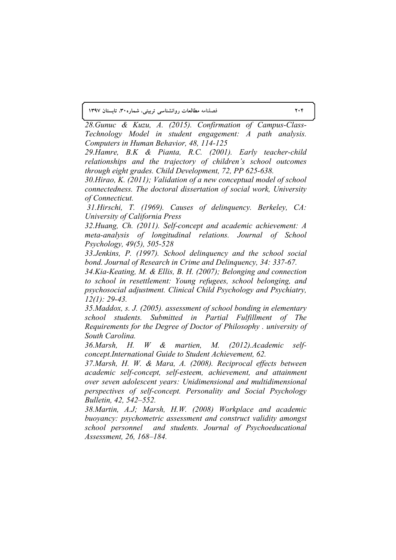*28.Gunuc & Kuzu, A. (2015). Confirmation of Campus-Class-Technology Model in student engagement: A path analysis. Computers in Human Behavior, 48, 114-125* 

*29.Hamre, B.K & Pianta, R.C. (2001). Early teacher-child relationships and the trajectory of children's school outcomes through eight grades. Child Development, 72, PP 625-638.* 

*30.Hirao, K. (2011); Validation of a new conceptual model of school connectedness. The doctoral dissertation of social work, University of Connecticut.*

*31.Hirschi, T. (1969). Causes of delinquency. Berkeley, CA: University of California Press*

*32.Huang, Ch. (2011). Self-concept and academic achievement: A meta-analysis of longitudinal relations. Journal of School Psychology, 49(5), 505-528* 

*33.Jenkins, P. (1997). School delinquency and the school social bond. Journal of Research in Crime and Delinquency, 34: 337-67.*

*34.Kia-Keating, M. & Ellis, B. H. (2007); Belonging and connection to school in resettlement: Young refugees, school belonging, and psychosocial adjustment. Clinical Child Psychology and Psychiatry, 12(1): 29-43.*

*35.Maddox, s. J. (2005). assessment of school bonding in elementary school students. Submitted in Partial Fulfillment of The Requirements for the Degree of Doctor of Philosophy . university of South Carolina.*

*36.Marsh, H. W & martien, M. (2012).Academic selfconcept.International Guide to Student Achievement, 62.*

*37.Marsh, H. W. & Mara, A. (2008). Reciprocal effects between academic self-concept, self-esteem, achievement, and attainment over seven adolescent years: Unidimensional and multidimensional perspectives of self-concept. Personality and Social Psychology Bulletin, 42, 542–552.* 

*38.Martin, A.J; Marsh, H.W. (2008) Workplace and academic buoyancy: psychometric assessment and construct validity amongst school personnel and students. Journal of Psychoeducational Assessment, 26, 168–184.*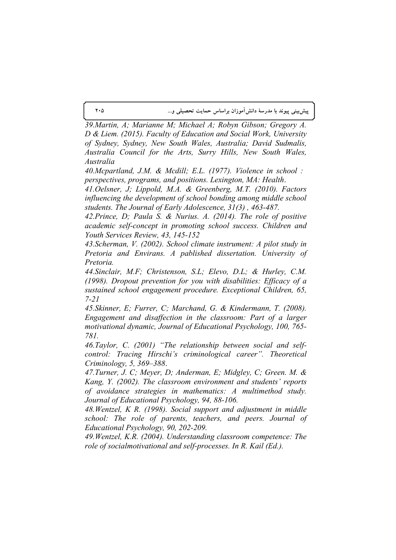**205 ... - !"# - - -**

*39.Martin, A; Marianne M; Michael A; Robyn Gibson; Gregory A. D & Liem. (2015). Faculty of Education and Social Work, University of Sydney, Sydney, New South Wales, Australia; David Sudmalis, Australia Council for the Arts, Surry Hills, New South Wales, Australia*

*40.Mcpartland, J.M. & Mcdill; E.L. (1977). Violence in school : perspectives, programs, and positions. Lexington, MA: Health*.

*41.Oelsner, J; Lippold, M.A. & Greenberg, M.T. (2010). Factors influencing the development of school bonding among middle school students. The Journal of Early Adolescence, 31(3) , 463-487.*

*42.Prince, D; Paula S. & Nurius. A. (2014). The role of positive academic self-concept in promoting school success. Children and Youth Services Review, 43, 145-152*

*43.Scherman, V. (2002). School climate instrument: A pilot study in Pretoria and Envirans. A pablished dissertation. University of Pretoria.* 

*44.Sinclair, M.F; Christenson, S.L; Elevo, D.L; & Hurley, C.M. (1998). Dropout prevention for you with disabilities: Efficacy of a sustained school engagement procedure. Exceptional Children, 65, 7-21*

*45.Skinner, E; Furrer, C; Marchand, G. & Kindermann, T. (2008). Engagement and disaffection in the classroom: Part of a larger motivational dynamic, Journal of Educational Psychology, 100, 765- 781.*

*46.Taylor, C. (2001) "The relationship between social and selfcontrol: Tracing Hirschi's criminological career". Theoretical Criminology, 5, 369–388*.

*47.Turner, J. C; Meyer, D; Anderman, E; Midgley, C; Green. M. & Kang, Y. (2002). The classroom environment and students' reports of avoidance strategies in mathematics: A multimethod study. Journal of Educational Psychology, 94, 88-106.* 

*48.Wentzel, K R. (1998). Social support and adjustment in middle school: The role of parents, teachers, and peers. Journal of Educational Psychology, 90, 202-209.* 

*49.Wentzel, K.R. (2004). Understanding classroom competence: The role of socialmotivational and self-processes. In R. Kail (Ed.).*